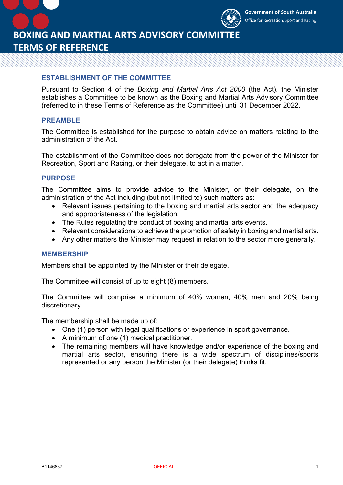

**BOXING AND MARTIAL ARTS ADVISORY COMMITTEE TERMS OF REFERENCE**

### **ESTABLISHMENT OF THE COMMITTEE**

Pursuant to Section 4 of the *Boxing and Martial Arts Act 2000* (the Act), the Minister establishes a Committee to be known as the Boxing and Martial Arts Advisory Committee (referred to in these Terms of Reference as the Committee) until 31 December 2022.

### **PREAMBLE**

The Committee is established for the purpose to obtain advice on matters relating to the administration of the Act.

The establishment of the Committee does not derogate from the power of the Minister for Recreation, Sport and Racing, or their delegate, to act in a matter.

## **PURPOSE**

The Committee aims to provide advice to the Minister, or their delegate, on the administration of the Act including (but not limited to) such matters as:

- Relevant issues pertaining to the boxing and martial arts sector and the adequacy and appropriateness of the legislation.
- The Rules regulating the conduct of boxing and martial arts events.
- Relevant considerations to achieve the promotion of safety in boxing and martial arts.
- Any other matters the Minister may request in relation to the sector more generally.

#### **MEMBERSHIP**

Members shall be appointed by the Minister or their delegate.

The Committee will consist of up to eight (8) members.

The Committee will comprise a minimum of 40% women, 40% men and 20% being discretionary.

The membership shall be made up of:

- One (1) person with legal qualifications or experience in sport governance.
- A minimum of one (1) medical practitioner.
- The remaining members will have knowledge and/or experience of the boxing and martial arts sector, ensuring there is a wide spectrum of disciplines/sports represented or any person the Minister (or their delegate) thinks fit.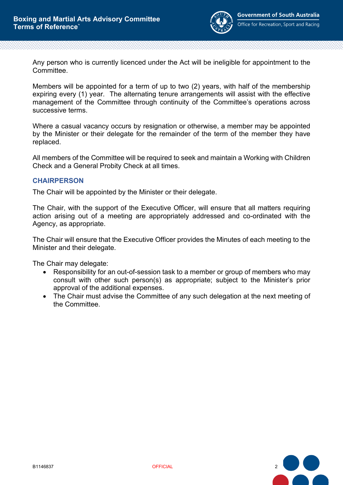

Any person who is currently licenced under the Act will be ineligible for appointment to the Committee.

Members will be appointed for a term of up to two (2) years, with half of the membership expiring every (1) year. The alternating tenure arrangements will assist with the effective management of the Committee through continuity of the Committee's operations across successive terms.

Where a casual vacancy occurs by resignation or otherwise, a member may be appointed by the Minister or their delegate for the remainder of the term of the member they have replaced.

All members of the Committee will be required to seek and maintain a Working with Children Check and a General Probity Check at all times.

### **CHAIRPERSON**

The Chair will be appointed by the Minister or their delegate.

The Chair, with the support of the Executive Officer, will ensure that all matters requiring action arising out of a meeting are appropriately addressed and co-ordinated with the Agency, as appropriate.

The Chair will ensure that the Executive Officer provides the Minutes of each meeting to the Minister and their delegate.

The Chair may delegate:

- Responsibility for an out-of-session task to a member or group of members who may consult with other such person(s) as appropriate; subject to the Minister's prior approval of the additional expenses.
- The Chair must advise the Committee of any such delegation at the next meeting of the Committee.

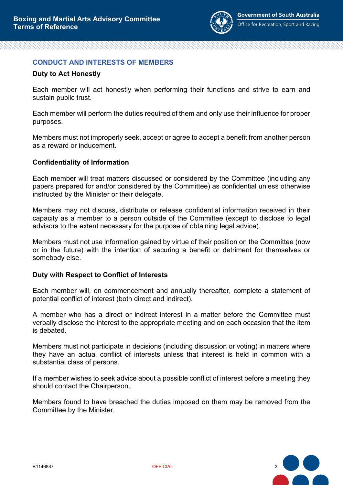

## **CONDUCT AND INTERESTS OF MEMBERS**

### **Duty to Act Honestly**

Each member will act honestly when performing their functions and strive to earn and sustain public trust.

Each member will perform the duties required of them and only use their influence for proper purposes.

Members must not improperly seek, accept or agree to accept a benefit from another person as a reward or inducement.

### **Confidentiality of Information**

Each member will treat matters discussed or considered by the Committee (including any papers prepared for and/or considered by the Committee) as confidential unless otherwise instructed by the Minister or their delegate.

Members may not discuss, distribute or release confidential information received in their capacity as a member to a person outside of the Committee (except to disclose to legal advisors to the extent necessary for the purpose of obtaining legal advice).

Members must not use information gained by virtue of their position on the Committee (now or in the future) with the intention of securing a benefit or detriment for themselves or somebody else.

#### **Duty with Respect to Conflict of Interests**

Each member will, on commencement and annually thereafter, complete a statement of potential conflict of interest (both direct and indirect).

A member who has a direct or indirect interest in a matter before the Committee must verbally disclose the interest to the appropriate meeting and on each occasion that the item is debated.

Members must not participate in decisions (including discussion or voting) in matters where they have an actual conflict of interests unless that interest is held in common with a substantial class of persons.

If a member wishes to seek advice about a possible conflict of interest before a meeting they should contact the Chairperson.

Members found to have breached the duties imposed on them may be removed from the Committee by the Minister.

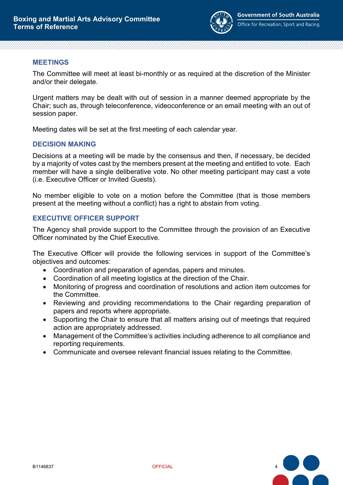

## **MEETINGS**

The Committee will meet at least bi-monthly or as required at the discretion of the Minister and/or their delegate.

Urgent matters may be dealt with out of session in a manner deemed appropriate by the Chair; such as, through teleconference, videoconference or an email meeting with an out of session paper.

Meeting dates will be set at the first meeting of each calendar year.

# **DECISION MAKING**

Decisions at a meeting will be made by the consensus and then, if necessary, be decided by a majority of votes cast by the members present at the meeting and entitled to vote. Each member will have a single deliberative vote. No other meeting participant may cast a vote (i.e. Executive Officer or Invited Guests).

No member eligible to vote on a motion before the Committee (that is those members present at the meeting without a conflict) has a right to abstain from voting.

# **EXECUTIVE OFFICER SUPPORT**

The Agency shall provide support to the Committee through the provision of an Executive Officer nominated by the Chief Executive.

The Executive Officer will provide the following services in support of the Committee's objectives and outcomes:

- Coordination and preparation of agendas, papers and minutes.
- Coordination of all meeting logistics at the direction of the Chair.
- Monitoring of progress and coordination of resolutions and action item outcomes for the Committee.
- Reviewing and providing recommendations to the Chair regarding preparation of papers and reports where appropriate.
- Supporting the Chair to ensure that all matters arising out of meetings that required action are appropriately addressed.
- Management of the Committee's activities including adherence to all compliance and reporting requirements.
- Communicate and oversee relevant financial issues relating to the Committee.

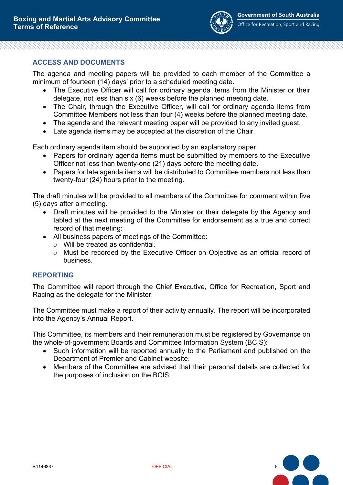

# **ACCESS AND DOCUMENTS**

The agenda and meeting papers will be provided to each member of the Committee a minimum of fourteen (14) days' prior to a scheduled meeting date.

- The Executive Officer will call for ordinary agenda items from the Minister or their delegate, not less than six (6) weeks before the planned meeting date.
- The Chair, through the Executive Officer, will call for ordinary agenda items from Committee Members not less than four (4) weeks before the planned meeting date.
- The agenda and the relevant meeting paper will be provided to any invited guest.
- Late agenda items may be accepted at the discretion of the Chair.

Each ordinary agenda item should be supported by an explanatory paper.

- Papers for ordinary agenda items must be submitted by members to the Executive Officer not less than twenty-one (21) days before the meeting date.
- Papers for late agenda items will be distributed to Committee members not less than twenty-four (24) hours prior to the meeting.

The draft minutes will be provided to all members of the Committee for comment within five (5) days after a meeting.

- Draft minutes will be provided to the Minister or their delegate by the Agency and tabled at the next meeting of the Committee for endorsement as a true and correct record of that meeting:
- All business papers of meetings of the Committee:
	- o Will be treated as confidential.
	- o Must be recorded by the Executive Officer on Objective as an official record of business.

## **REPORTING**

The Committee will report through the Chief Executive, Office for Recreation, Sport and Racing as the delegate for the Minister.

The Committee must make a report of their activity annually. The report will be incorporated into the Agency's Annual Report.

This Committee, its members and their remuneration must be registered by Governance on the whole-of-government Boards and Committee Information System (BCIS):

- Such information will be reported annually to the Parliament and published on the Department of Premier and Cabinet website.
- Members of the Committee are advised that their personal details are collected for the purposes of inclusion on the BCIS.

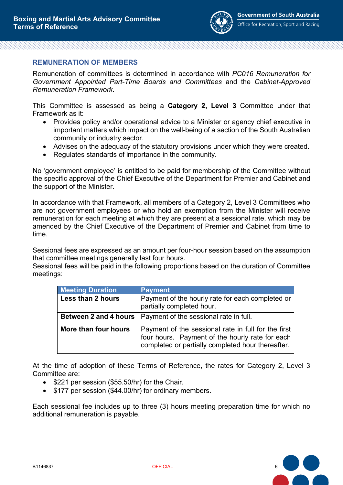

### **REMUNERATION OF MEMBERS**

Remuneration of committees is determined in accordance with *PC016 Remuneration for Government Appointed Part-Time Boards and Committees* and the *Cabinet-Approved Remuneration Framework*.

This Committee is assessed as being a **Category 2, Level 3** Committee under that Framework as it:

- Provides policy and/or operational advice to a Minister or agency chief executive in important matters which impact on the well-being of a section of the South Australian community or industry sector.
- Advises on the adequacy of the statutory provisions under which they were created.
- Regulates standards of importance in the community.

No 'government employee' is entitled to be paid for membership of the Committee without the specific approval of the Chief Executive of the Department for Premier and Cabinet and the support of the Minister.

In accordance with that Framework, all members of a Category 2, Level 3 Committees who are not government employees or who hold an exemption from the Minister will receive remuneration for each meeting at which they are present at a sessional rate, which may be amended by the Chief Executive of the Department of Premier and Cabinet from time to time.

Sessional fees are expressed as an amount per four-hour session based on the assumption that committee meetings generally last four hours.

Sessional fees will be paid in the following proportions based on the duration of Committee meetings:

| <b>Meeting Duration</b> | <b>Payment</b>                                                                                                                                              |
|-------------------------|-------------------------------------------------------------------------------------------------------------------------------------------------------------|
| Less than 2 hours       | Payment of the hourly rate for each completed or<br>partially completed hour.                                                                               |
| Between 2 and 4 hours   | Payment of the sessional rate in full.                                                                                                                      |
| More than four hours    | Payment of the sessional rate in full for the first<br>four hours. Payment of the hourly rate for each<br>completed or partially completed hour thereafter. |

At the time of adoption of these Terms of Reference, the rates for Category 2, Level 3 Committee are:

- \$221 per session (\$55.50/hr) for the Chair.
- \$177 per session (\$44.00/hr) for ordinary members.

Each sessional fee includes up to three (3) hours meeting preparation time for which no additional remuneration is payable.

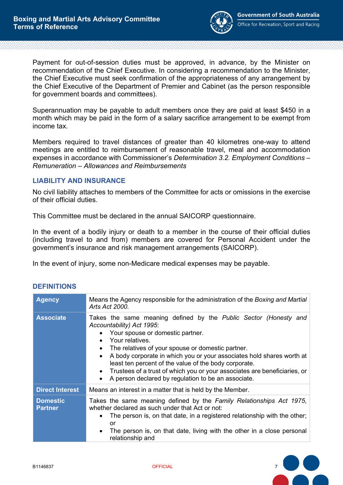

Payment for out-of-session duties must be approved, in advance, by the Minister on recommendation of the Chief Executive. In considering a recommendation to the Minister, the Chief Executive must seek confirmation of the appropriateness of any arrangement by the Chief Executive of the Department of Premier and Cabinet (as the person responsible for government boards and committees).

Superannuation may be payable to adult members once they are paid at least \$450 in a month which may be paid in the form of a salary sacrifice arrangement to be exempt from income tax.

Members required to travel distances of greater than 40 kilometres one-way to attend meetings are entitled to reimbursement of reasonable travel, meal and accommodation expenses in accordance with Commissioner's *Determination 3.2. Employment Conditions – Remuneration – Allowances and Reimbursements*

## **LIABILITY AND INSURANCE**

No civil liability attaches to members of the Committee for acts or omissions in the exercise of their official duties.

This Committee must be declared in the annual SAICORP questionnaire.

In the event of a bodily injury or death to a member in the course of their official duties (including travel to and from) members are covered for Personal Accident under the government's insurance and risk management arrangements (SAICORP).

In the event of injury, some non-Medicare medical expenses may be payable.

| <b>Agency</b>                     | Means the Agency responsible for the administration of the Boxing and Martial<br>Arts Act 2000.                                                                                                                                                                                                                                                                                                                                                                                                           |
|-----------------------------------|-----------------------------------------------------------------------------------------------------------------------------------------------------------------------------------------------------------------------------------------------------------------------------------------------------------------------------------------------------------------------------------------------------------------------------------------------------------------------------------------------------------|
| <b>Associate</b>                  | Takes the same meaning defined by the Public Sector (Honesty and<br>Accountability) Act 1995:<br>Your spouse or domestic partner.<br>Your relatives.<br>$\bullet$<br>The relatives of your spouse or domestic partner.<br>$\bullet$<br>A body corporate in which you or your associates hold shares worth at<br>least ten percent of the value of the body corporate.<br>Trustees of a trust of which you or your associates are beneficiaries, or<br>A person declared by regulation to be an associate. |
| <b>Direct Interest</b>            | Means an interest in a matter that is held by the Member.                                                                                                                                                                                                                                                                                                                                                                                                                                                 |
| <b>Domestic</b><br><b>Partner</b> | Takes the same meaning defined by the Family Relationships Act 1975,<br>whether declared as such under that Act or not:<br>The person is, on that date, in a registered relationship with the other;<br>or<br>The person is, on that date, living with the other in a close personal<br>relationship and                                                                                                                                                                                                  |

# **DEFINITIONS**

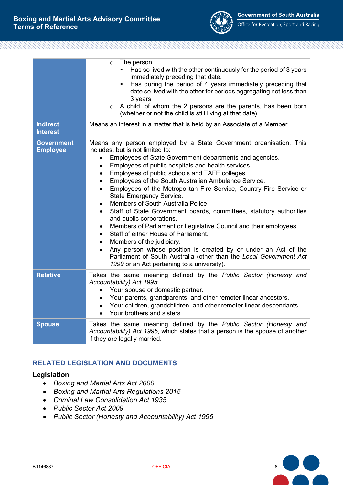

Office for Recreation, Sport and Racing

|                                      | The person:<br>$\circ$<br>• Has so lived with the other continuously for the period of 3 years<br>immediately preceding that date.<br>Has during the period of 4 years immediately preceding that<br>$\blacksquare$<br>date so lived with the other for periods aggregating not less than<br>3 years.<br>$\circ$ A child, of whom the 2 persons are the parents, has been born<br>(whether or not the child is still living at that date).                                                                                                                                                                                                                                                                                                                                                                                                                                                                                                                                                                                                                    |
|--------------------------------------|---------------------------------------------------------------------------------------------------------------------------------------------------------------------------------------------------------------------------------------------------------------------------------------------------------------------------------------------------------------------------------------------------------------------------------------------------------------------------------------------------------------------------------------------------------------------------------------------------------------------------------------------------------------------------------------------------------------------------------------------------------------------------------------------------------------------------------------------------------------------------------------------------------------------------------------------------------------------------------------------------------------------------------------------------------------|
| <b>Indirect</b><br><b>Interest</b>   | Means an interest in a matter that is held by an Associate of a Member.                                                                                                                                                                                                                                                                                                                                                                                                                                                                                                                                                                                                                                                                                                                                                                                                                                                                                                                                                                                       |
| <b>Government</b><br><b>Employee</b> | Means any person employed by a State Government organisation. This<br>includes, but is not limited to:<br>Employees of State Government departments and agencies.<br>$\bullet$<br>Employees of public hospitals and health services.<br>$\bullet$<br>Employees of public schools and TAFE colleges.<br>$\bullet$<br>Employees of the South Australian Ambulance Service.<br>$\bullet$<br>Employees of the Metropolitan Fire Service, Country Fire Service or<br>$\bullet$<br>State Emergency Service.<br>Members of South Australia Police.<br>$\bullet$<br>Staff of State Government boards, committees, statutory authorities<br>$\bullet$<br>and public corporations.<br>Members of Parliament or Legislative Council and their employees.<br>$\bullet$<br>Staff of either House of Parliament.<br>$\bullet$<br>Members of the judiciary.<br>$\bullet$<br>Any person whose position is created by or under an Act of the<br>$\bullet$<br>Parliament of South Australia (other than the Local Government Act<br>1999 or an Act pertaining to a university). |
| <b>Relative</b>                      | Takes the same meaning defined by the Public Sector (Honesty and<br>Accountability) Act 1995:<br>Your spouse or domestic partner.<br>$\bullet$<br>Your parents, grandparents, and other remoter linear ancestors.<br>$\bullet$<br>Your children, grandchildren, and other remoter linear descendants.<br>Your brothers and sisters.<br>$\bullet$                                                                                                                                                                                                                                                                                                                                                                                                                                                                                                                                                                                                                                                                                                              |
| <b>Spouse</b>                        | Takes the same meaning defined by the Public Sector (Honesty and<br>Accountability) Act 1995, which states that a person is the spouse of another<br>if they are legally married.                                                                                                                                                                                                                                                                                                                                                                                                                                                                                                                                                                                                                                                                                                                                                                                                                                                                             |

# **RELATED LEGISLATION AND DOCUMENTS**

### **Legislation**

- *Boxing and Martial Arts Act 2000*
- *Boxing and Martial Arts Regulations 2015*
- *Criminal Law Consolidation Act 1935*
- *Public Sector Act 2009*
- *Public Sector (Honesty and Accountability) Act 1995*